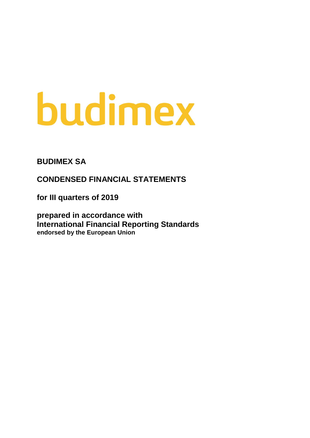# budimex

**BUDIMEX SA**

**CONDENSED FINANCIAL STATEMENTS** 

**for III quarters of 2019**

**prepared in accordance with International Financial Reporting Standards endorsed by the European Union**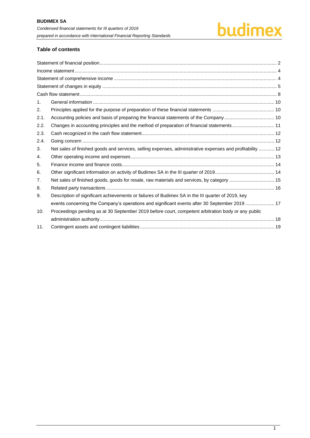# budimex

#### **Table of contents**

| 1.   |                                                                                                           |  |
|------|-----------------------------------------------------------------------------------------------------------|--|
| 2.   |                                                                                                           |  |
| 2.1. |                                                                                                           |  |
| 2.2. | Changes in accounting principles and the method of preparation of financial statements 11                 |  |
| 2.3. |                                                                                                           |  |
| 2.4. |                                                                                                           |  |
| 3.   | Net sales of finished goods and services, selling expenses, administrative expenses and profitability  12 |  |
| 4.   |                                                                                                           |  |
| 5.   |                                                                                                           |  |
| 6.   |                                                                                                           |  |
| 7.   | Net sales of finished goods, goods for resale, raw materials and services, by category  15                |  |
| 8.   |                                                                                                           |  |
| 9.   | Description of significant achievements or failures of Budimex SA in the III quarter of 2019, key         |  |
|      | events concerning the Company's operations and significant events after 30 September 2019  17             |  |
| 10.  | Proceedings pending as at 30 September 2019 before court, competent arbitration body or any public        |  |
|      |                                                                                                           |  |
| 11.  |                                                                                                           |  |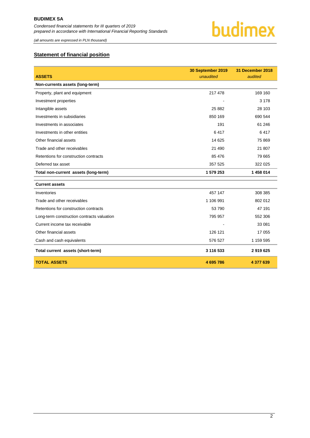

*(all amounts are expressed in PLN thousand)*

#### <span id="page-2-0"></span>**Statement of financial position**

|                                            | 30 September 2019 | 31 December 2018 |
|--------------------------------------------|-------------------|------------------|
| <b>ASSETS</b>                              | unaudited         | audited          |
| Non-currents assets (long-term)            |                   |                  |
| Property, plant and equipment              | 217 478           | 169 160          |
| Investment properties                      |                   | 3 1 7 8          |
| Intangible assets                          | 25 882            | 28 103           |
| Investments in subsidiaries                | 850 169           | 690 544          |
| Investments in associates                  | 191               | 61 24 6          |
| Investments in other entities              | 6417              | 6417             |
| Other financial assets                     | 14 625            | 75 869           |
| Trade and other receivables                | 21 490            | 21 807           |
| Retentions for construction contracts      | 85 476            | 79 665           |
| Deferred tax asset                         | 357 525           | 322 025          |
| Total non-current assets (long-term)       | 1 579 253         | 1 458 014        |
| <b>Current assets</b>                      |                   |                  |
| Inventories                                | 457 147           | 308 385          |
| Trade and other receivables                | 1 106 991         | 802 012          |
| Retentions for construction contracts      | 53 790            | 47 191           |
| Long-term construction contracts valuation | 795 957           | 552 306          |
| Current income tax receivable              |                   | 33 081           |
| Other financial assets                     | 126 121           | 17 055           |
| Cash and cash equivalents                  | 576 527           | 1 159 595        |
| Total current assets (short-term)          | 3 116 533         | 2919625          |
| <b>TOTAL ASSETS</b>                        | 4 695 786         | 4 377 639        |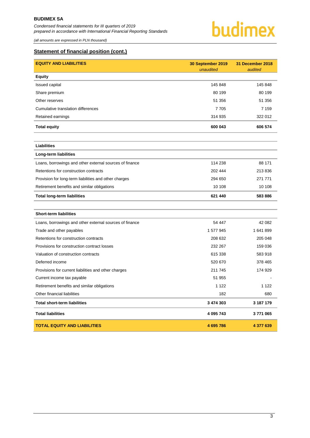*(all amounts are expressed in PLN thousand)*



#### **Statement of financial position (cont.)**

| <b>EQUITY AND LIABILITIES</b>                           | 30 September 2019<br>unaudited | 31 December 2018<br>audited |
|---------------------------------------------------------|--------------------------------|-----------------------------|
| <b>Equity</b>                                           |                                |                             |
| Issued capital                                          | 145 848                        | 145 848                     |
| Share premium                                           | 80 199                         | 80 199                      |
| Other reserves                                          | 51 356                         | 51 356                      |
| Cumulative translation differences                      | 7705                           | 7 1 5 9                     |
| Retained earnings                                       | 314 935                        | 322 012                     |
| <b>Total equity</b>                                     | 600 043                        | 606 574                     |
|                                                         |                                |                             |
| <b>Liabilities</b>                                      |                                |                             |
| Long-term liabilities                                   |                                |                             |
| Loans, borrowings and other external sources of finance | 114 238                        | 88 171                      |
| Retentions for construction contracts                   | 202 444                        | 213836                      |
| Provision for long-term liabilities and other charges   | 294 650                        | 271 771                     |
| Retirement benefits and similar obligations             | 10 108                         | 10 108                      |
| <b>Total long-term liabilities</b>                      | 621 440                        | 583 886                     |
|                                                         |                                |                             |
| <b>Short-term liabilities</b>                           |                                |                             |
| Loans, borrowings and other external sources of finance | 54 447                         | 42 082                      |
| Trade and other payables                                | 1 577 945                      | 1641899                     |
| Retentions for construction contracts                   | 208 632                        | 205 048                     |
| Provisions for construction contract losses             | 232 267                        | 159 036                     |
| Valuation of construction contracts                     | 615 338                        | 583 918                     |
| Deferred income                                         | 520 670                        | 378 465                     |
| Provisions for current liabilities and other charges    | 211 745                        | 174 929                     |
| Current income tax payable                              | 51 955                         |                             |
| Retirement benefits and similar obligations             | 1 1 2 2                        | 1 1 2 2                     |
| Other financial liabilities                             | 182                            | 680                         |
| <b>Total short-term liabilities</b>                     | 3 474 303                      | 3 187 179                   |
| <b>Total liabilities</b>                                | 4 095 743                      | 3771065                     |
| <b>TOTAL EQUITY AND LIABILITIES</b>                     | 4 695 786                      | 4 377 639                   |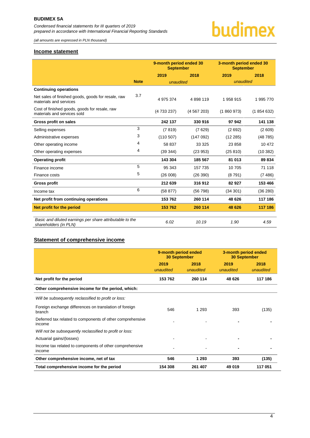*(all amounts are expressed in PLN thousand)*

# budimex

#### <span id="page-4-0"></span>**Income statement**

|                                                                                   |             | 9-month period ended 30<br><b>September</b> |           | 3-month period ended 30<br><b>September</b> |           |
|-----------------------------------------------------------------------------------|-------------|---------------------------------------------|-----------|---------------------------------------------|-----------|
|                                                                                   |             | 2019                                        | 2018      | 2019                                        | 2018      |
|                                                                                   | <b>Note</b> | unaudited                                   |           | unaudited                                   |           |
| <b>Continuing operations</b>                                                      |             |                                             |           |                                             |           |
| Net sales of finished goods, goods for resale, raw<br>materials and services      | 3.7         | 4 975 374                                   | 4898119   | 1958915                                     | 1 995 770 |
| Cost of finished goods, goods for resale, raw<br>materials and services sold      |             | (4 733 237)                                 | (4567203) | (1860973)                                   | (1854632) |
| Gross profit on sales                                                             |             | 242 137                                     | 330 916   | 97942                                       | 141 138   |
| Selling expenses                                                                  | 3           | (7819)                                      | (7629)    | (2692)                                      | (2609)    |
| Administrative expenses                                                           | 3           | (110 507)                                   | (147092)  | (12 285)                                    | (48785)   |
| Other operating income                                                            | 4           | 58 837                                      | 33 325    | 23 858                                      | 10 472    |
| Other operating expenses                                                          | 4           | (39344)                                     | (23953)   | (25810)                                     | (10382)   |
| <b>Operating profit</b>                                                           |             | 143 304                                     | 185 567   | 81 013                                      | 89 834    |
| Finance income                                                                    | 5           | 95 343                                      | 157 735   | 10 705                                      | 71 118    |
| Finance costs                                                                     | 5           | (26008)                                     | (26 390)  | (8791)                                      | (7486)    |
| <b>Gross profit</b>                                                               |             | 212 639                                     | 316912    | 82 927                                      | 153 466   |
| Income tax                                                                        | 6           | (58 877)                                    | (56798)   | (34301)                                     | (36 280)  |
| Net profit from continuing operations                                             |             | 153 762                                     | 260 114   | 48 626                                      | 117 186   |
| Net profit for the period                                                         |             | 153 762                                     | 260 114   | 48 626                                      | 117 186   |
| Basic and diluted earnings per share attributable to the<br>shareholders (in PLN) |             | 6.02                                        | 10.19     | 1.90                                        | 4.59      |

#### <span id="page-4-1"></span>**Statement of comprehensive income**

|                                                                     | 9-month period ended<br><b>30 September</b> |                   | 3-month period ended<br><b>30 September</b> |                   |
|---------------------------------------------------------------------|---------------------------------------------|-------------------|---------------------------------------------|-------------------|
|                                                                     | 2019<br>unaudited                           | 2018<br>unaudited | 2019<br>unaudited                           | 2018<br>unaudited |
| Net profit for the period                                           | 153 762                                     | 260 114           | 48 626                                      | 117 186           |
| Other comprehensive income for the period, which:                   |                                             |                   |                                             |                   |
| Will be subsequently reclassified to profit or loss:                |                                             |                   |                                             |                   |
| Foreign exchange differences on translation of foreign<br>branch    | 546                                         | 1 2 9 3           | 393                                         | (135)             |
| Deferred tax related to components of other comprehensive<br>income |                                             |                   |                                             |                   |
| Will not be subsequently reclassified to profit or loss:            |                                             |                   |                                             |                   |
| Actuarial gains/(losses)                                            |                                             |                   |                                             |                   |
| Income tax related to components of other comprehensive<br>income   |                                             |                   |                                             |                   |
| Other comprehensive income, net of tax                              | 546                                         | 1 2 9 3           | 393                                         | (135)             |
| Total comprehensive income for the period                           | 154 308                                     | 261 407           | 49 019                                      | 117 051           |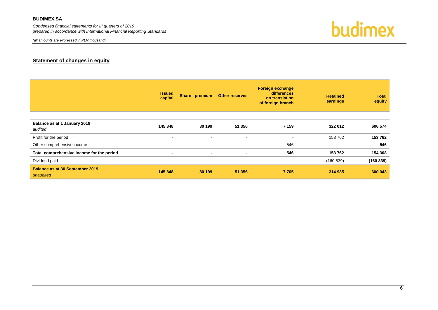*Condensed financial statements for III quarters of 2019 prepared in accordance with International Financial Reporting Standards*

*(all amounts are expressed in PLN thousand)*

budimex

#### **Statement of changes in equity**

<span id="page-5-0"></span>

|                                                     | <b>Issued</b><br>capital | Share premium            | <b>Other reserves</b> | <b>Foreign exchange</b><br>differences<br>on translation<br>of foreign branch | <b>Retained</b><br>earnings | <b>Total</b><br>equity |
|-----------------------------------------------------|--------------------------|--------------------------|-----------------------|-------------------------------------------------------------------------------|-----------------------------|------------------------|
| Balance as at 1 January 2019<br>audited             | 145 848                  | 80 199                   | 51 356                | 7 1 5 9                                                                       | 322 012                     | 606 574                |
| Profit for the period                               | $\,$ $\,$                | $\overline{\phantom{a}}$ | ۰                     | $\overline{\phantom{a}}$                                                      | 153 762                     | 153 762                |
| Other comprehensive income                          | $\,$ $\,$                | $\sim$                   | $\,$                  | 546                                                                           |                             | 546                    |
| Total comprehensive income for the period           | $\overline{\phantom{0}}$ | $\overline{\phantom{a}}$ | $\blacksquare$        | 546                                                                           | 153 762                     | 154 308                |
| Dividend paid                                       | $\sim$                   | $\sim$                   | $\sim$                | $\sim$                                                                        | (160 839)                   | (160 839)              |
| <b>Balance as at 30 September 2019</b><br>unaudited | 145 848                  | 80 199                   | 51 356                | 7705                                                                          | 314 935                     | 600 043                |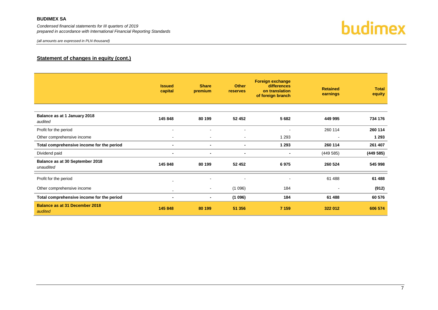*Condensed financial statements for III quarters of 2019 prepared in accordance with International Financial Reporting Standards*



#### **Statement of changes in equity (cont.)**

|                                                  | <b>Issued</b><br>capital | <b>Share</b><br>premium | <b>Other</b><br>reserves     | <b>Foreign exchange</b><br>differences<br>on translation<br>of foreign branch | <b>Retained</b><br>earnings | <b>Total</b><br>equity |
|--------------------------------------------------|--------------------------|-------------------------|------------------------------|-------------------------------------------------------------------------------|-----------------------------|------------------------|
| Balance as at 1 January 2018                     | 145 848                  | 80 199                  | 52 452                       | 5682                                                                          | 449 995                     | 734 176                |
| audited                                          |                          |                         |                              |                                                                               |                             |                        |
| Profit for the period                            |                          |                         | $\blacksquare$               |                                                                               | 260 114                     | 260 114                |
| Other comprehensive income                       | $\overline{\phantom{a}}$ | $\sim$                  | $\qquad \qquad \blacksquare$ | 1 2 9 3                                                                       | $\overline{\phantom{a}}$    | 1 2 9 3                |
| Total comprehensive income for the period        | $\blacksquare$           | $\blacksquare$          | $\blacksquare$               | 1 2 9 3                                                                       | 260 114                     | 261 407                |
| Dividend paid                                    | $\blacksquare$           | $\blacksquare$          | $\blacksquare$               | $\blacksquare$                                                                | (449585)                    | (449585)               |
| Balance as at 30 September 2018<br>unaudited     | 145 848                  | 80 199                  | 52 452                       | 6975                                                                          | 260 524                     | 545 998                |
| Profit for the period                            |                          |                         |                              | $\overline{\phantom{a}}$                                                      | 61 488                      | 61 488                 |
| Other comprehensive income                       | $\blacksquare$           | $\sim$                  | (1096)                       | 184                                                                           | $\overline{\phantom{a}}$    | (912)                  |
| Total comprehensive income for the period        | $\,$                     | $\blacksquare$          | (1096)                       | 184                                                                           | 61 488                      | 60 576                 |
| <b>Balance as at 31 December 2018</b><br>audited | 145 848                  | 80 199                  | 51 356                       | 7 1 5 9                                                                       | 322 012                     | 606 574                |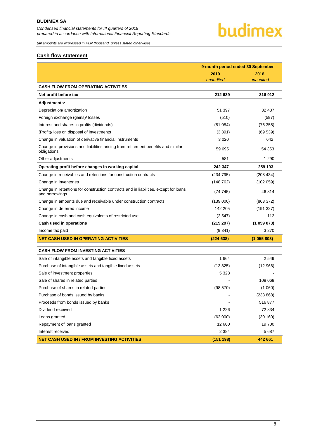## budimex

*(all amounts are expressed in PLN thousand, unless stated otherwise)*

#### <span id="page-7-0"></span>**Cash flow statement**

|                                                                                                        | 9-month period ended 30 September |           |  |
|--------------------------------------------------------------------------------------------------------|-----------------------------------|-----------|--|
|                                                                                                        | 2019                              | 2018      |  |
|                                                                                                        | unaudited                         | unaudited |  |
| <b>CASH FLOW FROM OPERATING ACTIVITIES</b>                                                             |                                   |           |  |
| Net profit before tax                                                                                  | 212 639                           | 316912    |  |
| <b>Adjustments:</b>                                                                                    |                                   |           |  |
| Depreciation/ amortization                                                                             | 51 397                            | 32 487    |  |
| Foreign exchange (gains)/ losses                                                                       | (510)                             | (597)     |  |
| Interest and shares in profits (dividends)                                                             | (81084)                           | (76355)   |  |
| (Profit)/ loss on disposal of investments                                                              | (3391)                            | (69 539)  |  |
| Change in valuation of derivative financial instruments                                                | 3 0 2 0                           | 642       |  |
| Change in provisions and liabilities arising from retirement benefits and similar<br>obligations       | 59 695                            | 54 353    |  |
| Other adjustments                                                                                      | 581                               | 1 2 9 0   |  |
| Operating profit before changes in working capital                                                     | 242 347                           | 259 193   |  |
| Change in receivables and retentions for construction contracts                                        | (234 795)                         | (208 434) |  |
| Change in inventories                                                                                  | (148 762)                         | (102 059) |  |
| Change in retentions for construction contracts and in liabilities, except for loans<br>and borrowings | (74745)                           | 46 814    |  |
| Change in amounts due and receivable under construction contracts                                      | (139 000)                         | (863 372) |  |
| Change in deferred income                                                                              | 142 205                           | (191 327) |  |
| Change in cash and cash equivalents of restricted use                                                  | (2547)                            | 112       |  |
| Cash used in operations                                                                                | (215 297)                         | (1059073) |  |
| Income tax paid                                                                                        | (9341)                            | 3 2 7 0   |  |
| <b>NET CASH USED IN OPERATING ACTIVITIES</b>                                                           | (224638)                          | (1055803) |  |
| <b>CASH FLOW FROM INVESTING ACTIVITIES</b>                                                             |                                   |           |  |
| Sale of intangible assets and tangible fixed assets                                                    | 1664                              | 2549      |  |
| Purchase of intangible assets and tangible fixed assets                                                | (13 825)                          | (12966)   |  |
| Sale of investment properties                                                                          | 5 3 2 3                           |           |  |
| Sale of shares in related parties                                                                      |                                   | 108 068   |  |
| Purchase of shares in related parties                                                                  | (98 570)                          | (1060)    |  |
| Purchase of bonds issued by banks                                                                      |                                   | (238 868) |  |
| Proceeds from bonds issued by banks                                                                    |                                   | 516 877   |  |
| Dividend received                                                                                      | 1 2 2 6                           | 72 834    |  |
| Loans granted                                                                                          | (62 000)                          | (30 160)  |  |
| Repayment of loans granted                                                                             | 12 600                            | 19700     |  |
| Interest received                                                                                      | 2 3 8 4                           | 5687      |  |
| <b>NET CASH USED IN / FROM INVESTING ACTIVITIES</b>                                                    | (151 198)                         | 442 661   |  |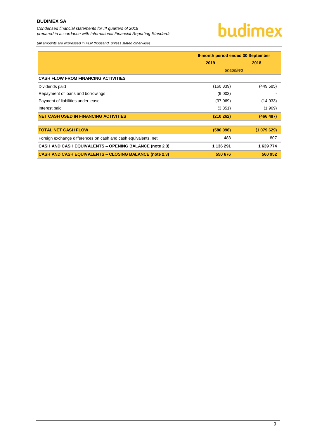*Condensed financial statements for III quarters of 2019 prepared in accordance with International Financial Reporting Standards*

# budimex

*(all amounts are expressed in PLN thousand, unless stated otherwise)*

|                                                                | 9-month period ended 30 September |           |  |
|----------------------------------------------------------------|-----------------------------------|-----------|--|
|                                                                | 2019                              | 2018      |  |
|                                                                | unaudited                         |           |  |
| <b>CASH FLOW FROM FINANCING ACTIVITIES</b>                     |                                   |           |  |
| Dividends paid                                                 | (160 839)                         | (449 585) |  |
| Repayment of loans and borrowings                              | (9 003)                           |           |  |
| Payment of liabilities under lease                             | (37069)                           | (14933)   |  |
| Interest paid                                                  | (3351)                            | (1969)    |  |
| <b>NET CASH USED IN FINANCING ACTIVITIES</b>                   | (210 262)                         | (466 487) |  |
|                                                                |                                   |           |  |
| <b>TOTAL NET CASH FLOW</b>                                     | (586098)                          | (1079629) |  |
| Foreign exchange differences on cash and cash equivalents, net | 483                               | 807       |  |
| <b>CASH AND CASH EQUIVALENTS - OPENING BALANCE (note 2.3)</b>  | 1 136 291                         | 1 639 774 |  |
| <b>CASH AND CASH EQUIVALENTS - CLOSING BALANCE (note 2.3)</b>  | 550 676                           | 560 952   |  |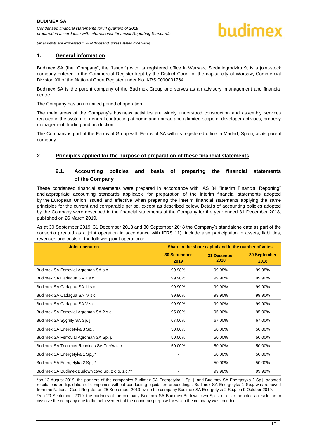#### <span id="page-9-0"></span>**1. General information**

Budimex SA (the "Company", the "Issuer") with its registered office in Warsaw, Siedmiogrodzka 9, is a joint-stock company entered in the Commercial Register kept by the District Court for the capital city of Warsaw, Commercial Division XII of the National Court Register under No. KRS 0000001764.

Budimex SA is the parent company of the Budimex Group and serves as an advisory, management and financial centre.

The Company has an unlimited period of operation.

The main areas of the Company's business activities are widely understood construction and assembly services realised in the system of general contracting at home and abroad and a limited scope of developer activities, property management, trading and production.

The Company is part of the Ferrovial Group with Ferrovial SA with its registered office in Madrid, Spain, as its parent company.

#### <span id="page-9-2"></span><span id="page-9-1"></span>**2. Principles applied for the purpose of preparation of these financial statements**

#### **2.1. Accounting policies and basis of preparing the financial statements of the Company**

These condensed financial statements were prepared in accordance with IAS 34 "Interim Financial Reporting" and appropriate accounting standards applicable for preparation of the interim financial statements adopted by the European Union issued and effective when preparing the interim financial statements applying the same principles for the current and comparable period, except as described below. Details of accounting policies adopted by the Company were described in the financial statements of the Company for the year ended 31 December 2018, published on 26 March 2019.

As at 30 September 2019, 31 December 2018 and 30 September 2018 the Company's standalone data as part of the consortia (treated as a joint operation in accordance with IFRS 11), include also participation in assets, liabilities, revenues and costs of the following joint operations:

| <b>Joint operation</b>                           | Share in the share capital and in the number of votes |                            |                             |  |
|--------------------------------------------------|-------------------------------------------------------|----------------------------|-----------------------------|--|
|                                                  | <b>30 September</b><br>2019                           | <b>31 December</b><br>2018 | <b>30 September</b><br>2018 |  |
| Budimex SA Ferrovial Agroman SA s.c.             | 99.98%                                                | 99.98%                     | 99.98%                      |  |
| Budimex SA Cadagua SA II s.c.                    | 99.90%                                                | 99.90%                     | 99.90%                      |  |
| Budimex SA Cadagua SA III s.c.                   | 99.90%                                                | 99.90%                     | 99.90%                      |  |
| Budimex SA Cadagua SA IV s.c.                    | 99.90%                                                | 99.90%                     | 99.90%                      |  |
| Budimex SA Cadagua SA V s.c.                     | 99.90%                                                | 99.90%                     | 99.90%                      |  |
| Budimex SA Ferrovial Agroman SA 2 s.c.           | 95.00%                                                | 95.00%                     | 95.00%                      |  |
| Budimex SA Sygnity SA Sp. j.                     | 67.00%                                                | 67.00%                     | 67.00%                      |  |
| Budimex SA Energetyka 3 Sp.j.                    | 50.00%                                                | 50.00%                     | 50.00%                      |  |
| Budimex SA Ferrovial Agroman SA Sp. j.           | 50.00%                                                | 50.00%                     | 50.00%                      |  |
| Budimex SA Tecnicas Reunidas SA Turów s.c.       | 50.00%                                                | 50.00%                     | 50.00%                      |  |
| Budimex SA Energetyka 1 Sp.j.*                   | -                                                     | 50.00%                     | 50.00%                      |  |
| Budimex SA Energetyka 2 Sp.j.*                   | -                                                     | 50.00%                     | 50.00%                      |  |
| Budimex SA Budimex Budownictwo Sp. z o.o. s.c.** |                                                       | 99.98%                     | 99.98%                      |  |

\*on 13 August 2019, the partners of the companies Budimex SA Energetyka 1 Sp. j. and Budimex SA Energetyka 2 Sp.j. adopted resolutions on liquidation of companies without conducting liquidation proceedings. Budimex SA Energetyka 1 Sp.j. was removed from the National Court Register on 25 September 2019, while the company Budimex SA Energetyka 2 Sp.j. on 9 October 2019.

\*\*on 20 September 2019, the partners of the company Budimex SA Budimex Budownictwo Sp. z o.o. s.c. adopted a resolution to dissolve the company due to the achievement of the economic purpose for which the company was founded.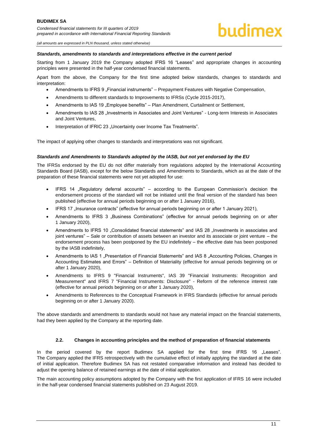### hudimex

*(all amounts are expressed in PLN thousand, unless stated otherwise)*

#### *Standards, amendments to standards and interpretations effective in the current period*

Starting from 1 January 2019 the Company adopted IFRS 16 "Leases" and appropriate changes in accounting principles were presented in the half-year condensed financial statements.

Apart from the above, the Company for the first time adopted below standards, changes to standards and interpretation:

- Amendments to IFRS 9 "Financial instruments" Prepayment Features with Negative Compensation,
- Amendments to different standards to Improvements to IFRSs (Cycle 2015-2017),
- Amendments to IAS 19 "Employee benefits" Plan Amendment, Curtailment or Settlement,
- Amendments to IAS 28 "Investments in Associates and Joint Ventures" Long-term Interests in Associates and Joint Ventures,
- Interpretation of IFRIC 23 "Uncertainty over Income Tax Treatments".

The impact of applying other changes to standards and interpretations was not significant.

#### *Standards and Amendments to Standards adopted by the IASB, but not yet endorsed by the EU*

The IFRSs endorsed by the EU do not differ materially from regulations adopted by the International Accounting Standards Board (IASB), except for the below Standards and Amendments to Standards, which as at the date of the preparation of these financial statements were not yet adopted for use:

- IFRS 14 "Regulatory deferral accounts" according to the European Commission's decision the endorsement process of the standard will not be initiated until the final version of the standard has been published (effective for annual periods beginning on or after 1 January 2016),
- IFRS 17 "Insurance contracts" (effective for annual periods beginning on or after 1 January 2021),
- Amendments to IFRS 3 "Business Combinations" (effective for annual periods beginning on or after 1 January 2020),
- Amendments to IFRS 10 "Consolidated financial statements" and IAS 28 "Investments in associates and joint ventures" – Sale or contribution of assets between an investor and its associate or joint venture – the endorsement process has been postponed by the EU indefinitely – the effective date has been postponed by the IASB indefinitely,
- Amendments to IAS 1 . Presentation of Financial Statements" and IAS 8 . Accounting Policies, Changes in Accounting Estimates and Errors" – Definition of Materiality (effective for annual periods beginning on or after 1 January 2020),
- Amendments to IFRS 9 "Financial Instruments", IAS 39 "Financial Instruments: Recognition and Measurement" and IFRS 7 "Financial Instruments: Disclosure" - Reform of the reference interest rate (effective for annual periods beginning on or after 1 January 2020),
- Amendments to References to the Conceptual Framework in IFRS Standards (effective for annual periods beginning on or after 1 January 2020).

The above standards and amendments to standards would not have any material impact on the financial statements, had they been applied by the Company at the reporting date.

#### **2.2. Changes in accounting principles and the method of preparation of financial statements**

<span id="page-10-0"></span>In the period covered by the report Budimex SA applied for the first time IFRS 16 .Leases". The Company applied the IFRS retrospectively with the cumulative effect of initially applying the standard at the date of initial application. Therefore Budimex SA has not restated comparative information and instead has decided to adjust the opening balance of retained earnings at the date of initial application.

The main accounting policy assumptions adopted by the Company with the first application of IFRS 16 were included in the half-year condensed financial statements published on 23 August 2019.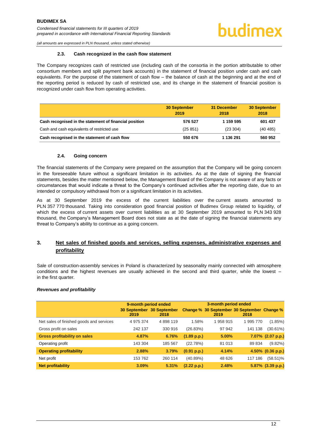<span id="page-11-0"></span>*(all amounts are expressed in PLN thousand, unless stated otherwise)*

#### **2.3. Cash recognized in the cash flow statement**

The Company recognizes cash of restricted use (including cash of the consortia in the portion attributable to other consortium members and split payment bank accounts) in the statement of financial position under cash and cash equivalents. For the purpose of the statement of cash flow – the balance of cash at the beginning and at the end of the reporting period is reduced by cash of restricted use, and its change in the statement of financial position is recognized under cash flow from operating activities.

|                                                        | <b>30 September</b><br>2019 | 31 December<br>2018 | <b>30 September</b><br>2018 |
|--------------------------------------------------------|-----------------------------|---------------------|-----------------------------|
| Cash recognised in the statement of financial position | 576 527                     | 1 159 595           | 601 437                     |
| Cash and cash equivalents of restricted use            | (25851)                     | (23304)             | (40 485)                    |
| Cash recognised in the statement of cash flow          | 550 676                     | 1 136 291           | 560 952                     |

#### **2.4. Going concern**

<span id="page-11-1"></span>The financial statements of the Company were prepared on the assumption that the Company will be going concern in the foreseeable future without a significant limitation in its activities. As at the date of signing the financial statements, besides the matter mentioned below, the Management Board of the Company is not aware of any facts or circumstances that would indicate a threat to the Company's continued activities after the reporting date, due to an intended or compulsory withdrawal from or a significant limitation in its activities.

As at 30 September 2019 the excess of the current liabilities over the current assets amounted to PLN 357 770 thousand. Taking into consideration good financial position of Budimex Group related to liquidity, of which the excess of current assets over current liabilities as at 30 September 2019 amounted to PLN 343 928 thousand, the Company's Management Board does not state as at the date of signing the financial statements any threat to Company's ability to continue as a going concern.

#### <span id="page-11-2"></span>**3. Net sales of finished goods and services, selling expenses, administrative expenses and profitability**

Sale of construction-assembly services in Poland is characterized by seasonality mainly connected with atmosphere conditions and the highest revenues are usually achieved in the second and third quarter, while the lowest – in the first quarter.

#### *Revenues and profitability*

|                                          | 9-month period ended |                                   |             |                                                     |         |                   |
|------------------------------------------|----------------------|-----------------------------------|-------------|-----------------------------------------------------|---------|-------------------|
|                                          | 2019                 | 30 September 30 September<br>2018 |             | Change % 30 September 30 September Change %<br>2019 | 2018    |                   |
| Net sales of finished goods and services | 4 975 374            | 4898119                           | 1.58%       | 1 958 915                                           | 1995770 | (1.85%)           |
| Gross profit on sales                    | 242 137              | 330 916                           | (26.83%)    | 97 942                                              | 141 138 | $(30.61\%)$       |
| <b>Gross profitability on sales</b>      | 4.87%                | 6.76%                             | (1.89 p.p.) | 5.00%                                               |         | 7.07% (2.07 p.p.) |
| Operating profit                         | 143 304              | 185 567                           | (22.78%)    | 81 013                                              | 89 834  | $(9.82\%)$        |
| <b>Operating profitability</b>           | 2.88%                | 3.79%                             | (0.91 p.p.) | 4.14%                                               |         | 4.50% (0.36 p.p.) |
| Net profit                               | 153 762              | 260 114                           | (40.89%)    | 48 626                                              | 117 186 | $(58.51)\%$       |
| <b>Net profitability</b>                 | 3.09%                | 5.31%                             | (2.22 p.p.) | 2.48%                                               |         | 5.87% (3.39 p.p.) |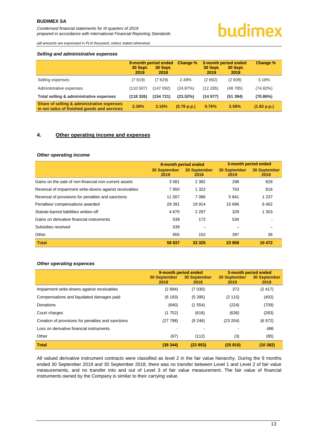# budimex

*(all amounts are expressed in PLN thousand, unless stated otherwise)*

#### *Selling and administrative expenses*

|                                                                                           | <b>30 Sept.</b><br>2019 | 9-month period ended<br><b>30 Sept.</b><br>2018 | Change %    | <b>30 Sept.</b><br>2019 | 3-month period ended<br><b>30 Sept.</b><br>2018 | Change %    |
|-------------------------------------------------------------------------------------------|-------------------------|-------------------------------------------------|-------------|-------------------------|-------------------------------------------------|-------------|
| Selling expenses                                                                          | (7819)                  | (7629)                                          | 2.49%       | (2692)                  | (2609)                                          | 3.18%       |
| Administrative expenses                                                                   | (110507)                | (147 092)                                       | (24.87%)    | (12285)                 | (48785)                                         | (74.82%)    |
| Total selling & administrative expenses                                                   | (118326)                | (154721)                                        | $(23.52\%)$ | (14977)                 | (51394)                                         | (70.86%)    |
| Share of selling & administrative expenses<br>in net sales of finished goods and services | 2.38%                   | 3.16%                                           | (0.78 p.p.) | 0.76%                   | 2.58%                                           | (1.82 p.p.) |

#### <span id="page-12-0"></span>**4. Other operating income and expenses**

#### *Other operating income*

|                                                        | 9-month period ended        |                             |                             | 3-month period ended        |
|--------------------------------------------------------|-----------------------------|-----------------------------|-----------------------------|-----------------------------|
|                                                        | <b>30 September</b><br>2019 | <b>30 September</b><br>2018 | <b>30 September</b><br>2019 | <b>30 September</b><br>2018 |
| Gains on the sale of non-financial non-current assets  | 3581                        | 2 3 8 2                     | 298                         | 628                         |
| Reversal of impairment write-downs against receivables | 7950                        | 1 3 2 2                     | 763                         | 816                         |
| Reversal of provisions for penalties and sanctions     | 11 507                      | 7 0 8 6                     | 5841                        | 1 2 3 7                     |
| Penalties/compensations awarded                        | 29 391                      | 19 914                      | 15 696                      | 6402                        |
| Statute-barred liabilities written-off                 | 4675                        | 2 2 9 7                     | 329                         | 1 3 5 3                     |
| Gains on derivative financial instruments              | 539                         | 172                         | 534                         |                             |
| Subsidies received                                     | 539                         |                             |                             |                             |
| Other                                                  | 655                         | 152                         | 397                         | 36                          |
| <b>Total</b>                                           | 58 837                      | 33 3 25                     | 23 858                      | 10 472                      |

#### *Other operating expences*

|                                                    | 9-month period ended<br><b>30 September</b><br>2019 | <b>30 September</b><br>2018 | 3-month period ended<br><b>30 September</b><br>2019 | <b>30 September</b><br>2018 |
|----------------------------------------------------|-----------------------------------------------------|-----------------------------|-----------------------------------------------------|-----------------------------|
| Impairment write-downs against receivables         | (2894)                                              | (7030)                      | 372                                                 | (2417)                      |
| Compensations and liquidated damages paid          | (6193)                                              | (5395)                      | (2115)                                              | (402)                       |
| Donations                                          | (640)                                               | (1554)                      | (224)                                               | (709)                       |
| Court charges                                      | (1752)                                              | (616)                       | (636)                                               | (283)                       |
| Creation of provisions for penalties and sanctions | (27798)                                             | (9, 246)                    | (23 204)                                            | (6972)                      |
| Loss on derivative financial instruments           |                                                     |                             |                                                     | 486                         |
| Other                                              | (67)                                                | (112)                       | (3)                                                 | (85)                        |
| <b>Total</b>                                       | (39344)                                             | (23953)                     | (25810)                                             | (10382)                     |

All valued derivative instrument contracts were classified as level 2 in the fair value hierarchy. During the 9 months ended 30 September 2019 and 30 September 2018, there was no transfer between Level 1 and Level 2 of fair value measurements, and no transfer into and out of Level 3 of fair value measurement. The fair value of financial instruments owned by the Company is similar to their carrying value.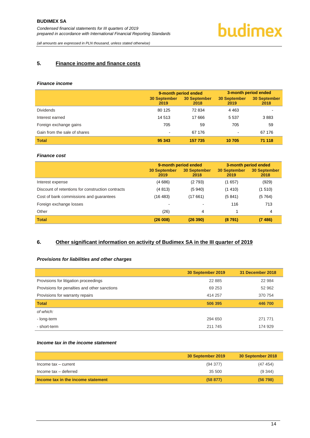# budimex

*(all amounts are expressed in PLN thousand, unless stated otherwise)*

#### <span id="page-13-0"></span>**5. Finance income and finance costs**

#### *Finance income*

|                              | 9-month period ended        |                             | 3-month period ended        |                             |
|------------------------------|-----------------------------|-----------------------------|-----------------------------|-----------------------------|
|                              | <b>30 September</b><br>2019 | <b>30 September</b><br>2018 | <b>30 September</b><br>2019 | <b>30 September</b><br>2018 |
| <b>Dividends</b>             | 80 125                      | 72 834                      | 4 4 6 3                     |                             |
| Interest earned              | 14 513                      | 17666                       | 5 5 3 7                     | 3883                        |
| Foreign exchange gains       | 705                         | 59                          | 705                         | 59                          |
| Gain from the sale of shares | $\overline{\phantom{a}}$    | 67 176                      | -                           | 67 176                      |
| <b>Total</b>                 | 95 343                      | 157 735                     | 10 705                      | 71 118                      |

#### *Finance cost*

|                                                   | 9-month period ended        |                             | 3-month period ended        |                             |
|---------------------------------------------------|-----------------------------|-----------------------------|-----------------------------|-----------------------------|
|                                                   | <b>30 September</b><br>2019 | <b>30 September</b><br>2018 | <b>30 September</b><br>2019 | <b>30 September</b><br>2018 |
| Interest expense                                  | (4686)                      | (2793)                      | (1657)                      | (929)                       |
| Discount of retentions for construction contracts | (4813)                      | (5940)                      | (1410)                      | (1510)                      |
| Cost of bank commissions and guarantees           | (16 483)                    | (17661)                     | (5841)                      | (5764)                      |
| Foreign exchange losses                           | $\overline{\phantom{a}}$    |                             | 116                         | 713                         |
| Other                                             | (26)                        | 4                           |                             | 4                           |
| <b>Total</b>                                      | (26008)                     | (26 390)                    | (8791)                      | (7486)                      |

#### <span id="page-13-1"></span>**6. Other significant information on activity of Budimex SA in the III quarter of 2019**

#### *Provisions for liabilities and other charges*

|                                              | 30 September 2019 | 31 December 2018 |
|----------------------------------------------|-------------------|------------------|
| Provisions for litigation proceedings        | 22 8 8 5          | 22 984           |
| Provisions for penalties and other sanctions | 69 253            | 52 962           |
| Provisions for warranty repairs              | 414 257           | 370 754          |
| <b>Total</b>                                 | 506 395           | 446 700          |
| of which:                                    |                   |                  |
| - long-term                                  | 294 650           | 271 771          |
| - short-term                                 | 211 745           | 174 929          |

#### *Income tax in the income statement*

|                                    | 30 September 2019 | 30 September 2018 |
|------------------------------------|-------------------|-------------------|
| Income tax - current               | (94377)           | (47454)           |
| Income tax - deferred              | 35 500            | (9,344)           |
| Income tax in the income statement | (58 877)          | (56798)           |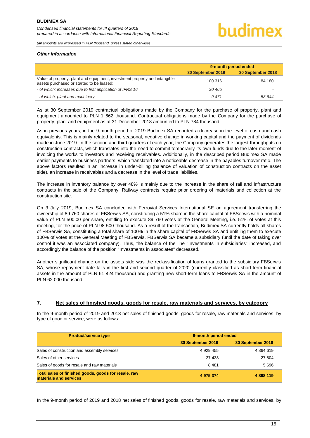#### *Other information*

|                                                                                                                         | 9-month period ended |                   |
|-------------------------------------------------------------------------------------------------------------------------|----------------------|-------------------|
|                                                                                                                         | 30 September 2019    | 30 September 2018 |
| Value of property, plant and equipment, investment property and intangible<br>assets purchased or started to be leased: | 100 316              | 84 180            |
| - of which: increases due to first application of IFRS 16                                                               | 30 465               |                   |
| - of which: plant and machinery                                                                                         | 9471                 | 58 644            |

As at 30 September 2019 contractual obligations made by the Company for the purchase of property, plant and equipment amounted to PLN 1 662 thousand. Contractual obligations made by the Company for the purchase of property, plant and equipment as at 31 December 2018 amounted to PLN 784 thousand.

As in previous years, in the 9-month period of 2019 Budimex SA recorded a decrease in the level of cash and cash equivalents. This is mainly related to the seasonal, negative change in working capital and the payment of dividends made in June 2019. In the second and third quarters of each year, the Company generates the largest throughputs on construction contracts, which translates into the need to commit temporarily its own funds due to the later moment of invoicing the works to investors and receiving receivables. Additionally, in the described period Budimex SA made earlier payments to business partners, which translated into a noticeable decrease in the payables turnover ratio. The above factors resulted in an increase in under-billing (balance of valuation of construction contracts on the asset side), an increase in receivables and a decrease in the level of trade liabilities.

The increase in inventory balance by over 48% is mainly due to the increase in the share of rail and infrastructure contracts in the sale of the Company. Railway contracts require prior ordering of materials and collection at the construction site.

On 3 July 2019, Budimex SA concluded with Ferrovial Services International SE an agreement transferring the ownership of 89 760 shares of FBSerwis SA, constituting a 51% share in the share capital of FBSerwis with a nominal value of PLN 500.00 per share, entitling to execute 89 760 votes at the General Meeting, i.e. 51% of votes at this meeting, for the price of PLN 98 500 thousand. As a result of the transaction, Budimex SA currently holds all shares of FBSerwis SA, constituting a total share of 100% in the share capital of FBSerwis SA and entitling them to execute 100% of votes at the General Meeting of FBSerwis. FBSerwis SA became a subsidiary (until the date of taking over control it was an associated company). Thus, the balance of the line "Investments in subsidiaries" increased, and accordingly the balance of the position "Investments in associates" decreased.

Another significant change on the assets side was the reclassification of loans granted to the subsidiary FBSerwis SA, whose repayment date falls in the first and second quarter of 2020 (currently classified as short-term financial assets in the amount of PLN 61 424 thousand) and granting new short-term loans to FBSerwis SA in the amount of PLN 62 000 thousand.

#### <span id="page-14-0"></span>**7. Net sales of finished goods, goods for resale, raw materials and services, by category**

In the 9-month period of 2019 and 2018 net sales of finished goods, goods for resale, raw materials and services, by type of good or service, were as follows:

| <b>Product/service type</b>                                                    | 9-month period ended |                   |  |
|--------------------------------------------------------------------------------|----------------------|-------------------|--|
|                                                                                | 30 September 2019    | 30 September 2018 |  |
| Sales of construction and assembly services                                    | 4 929 455            | 4864619           |  |
| Sales of other services                                                        | 37 438               | 27 804            |  |
| Sales of goods for resale and raw materials                                    | 8481                 | 5 696             |  |
| Total sales of finished goods, goods for resale, raw<br>materials and services | 4 975 374            | 4 898 119         |  |

In the 9-month period of 2019 and 2018 net sales of finished goods, goods for resale, raw materials and services, by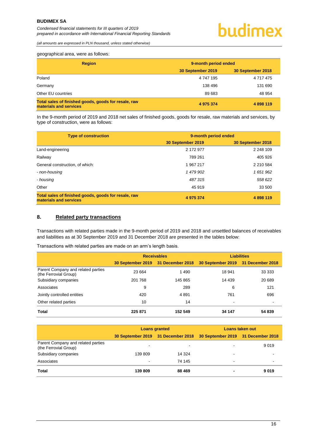*(all amounts are expressed in PLN thousand, unless stated otherwise)*

#### geographical area, were as follows:

| <b>Region</b>                                                                  | 9-month period ended |                   |  |
|--------------------------------------------------------------------------------|----------------------|-------------------|--|
|                                                                                | 30 September 2019    | 30 September 2018 |  |
| Poland                                                                         | 4 747 195            | 4 717 475         |  |
| Germany                                                                        | 138 496              | 131 690           |  |
| Other EU countries                                                             | 89 683               | 48 954            |  |
| Total sales of finished goods, goods for resale, raw<br>materials and services | 4 975 374            | 4898119           |  |

In the 9-month period of 2019 and 2018 net sales of finished goods, goods for resale, raw materials and services, by type of construction, were as follows:

| <b>Type of construction</b>                                                    | 9-month period ended |                   |  |  |
|--------------------------------------------------------------------------------|----------------------|-------------------|--|--|
|                                                                                | 30 September 2019    | 30 September 2018 |  |  |
| Land-engineering                                                               | 2 172 977            | 2 248 109         |  |  |
| Railway                                                                        | 789 261              | 405 926           |  |  |
| General construction, of which:                                                | 1 967 217            | 2 210 584         |  |  |
| - non-housing                                                                  | 1 479 902            | 1 651 962         |  |  |
| - housing                                                                      | 487315               | 558 622           |  |  |
| Other                                                                          | 45 919               | 33 500            |  |  |
| Total sales of finished goods, goods for resale, raw<br>materials and services | 4 975 374            | 4 898 119         |  |  |

#### <span id="page-15-0"></span>**8. Related party transactions**

Transactions with related parties made in the 9-month period of 2019 and 2018 and unsettled balances of receivables and liabilities as at 30 September 2019 and 31 December 2018 are presented in the tables below:

Transactions with related parties are made on an arm's length basis.

|                                                             | <b>Receivables</b> |                                    | <b>Liabilities</b>                 |        |  |
|-------------------------------------------------------------|--------------------|------------------------------------|------------------------------------|--------|--|
|                                                             |                    | 30 September 2019 31 December 2018 | 30 September 2019 31 December 2018 |        |  |
| Parent Company and related parties<br>(the Ferrovial Group) | 23 6 64            | 1490                               | 18 941                             | 33 333 |  |
| Subsidiary companies                                        | 201 768            | 145 865                            | 14 4 39                            | 20 689 |  |
| Associates                                                  | 9                  | 289                                | 6                                  | 121    |  |
| Jointly controlled entities                                 | 420                | 4891                               | 761                                | 696    |  |
| Other related parties                                       | 10                 | 14                                 |                                    |        |  |
| <b>Total</b>                                                | 225 871            | 152 549                            | 34 147                             | 54 839 |  |

|                                                             | <b>Loans granted</b> |                          | Loans taken out                                                       |      |
|-------------------------------------------------------------|----------------------|--------------------------|-----------------------------------------------------------------------|------|
|                                                             |                      |                          | 30 September 2019 31 December 2018 30 September 2019 31 December 2018 |      |
| Parent Company and related parties<br>(the Ferrovial Group) | -                    | $\overline{\phantom{0}}$ |                                                                       | 9019 |
| Subsidiary companies                                        | 139 809              | 14 3 24                  |                                                                       |      |
| Associates                                                  | $\blacksquare$       | 74 145                   | -                                                                     |      |
| <b>Total</b>                                                | 139809               | 88 469                   |                                                                       | 9019 |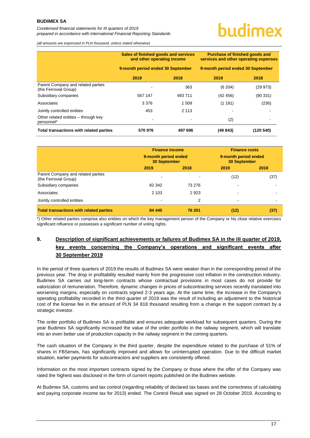*Condensed financial statements for III quarters of 2019 prepared in accordance with International Financial Reporting Standards*

# undimex

*(all amounts are expressed in PLN thousand, unless stated otherwise)*

|                                                             | Sales of finished goods and services<br>and other operating income<br>9-month period ended 30 September |                          | <b>Purchase of finished goods and</b><br>services and other operating expenses<br>9-month period ended 30 September |           |
|-------------------------------------------------------------|---------------------------------------------------------------------------------------------------------|--------------------------|---------------------------------------------------------------------------------------------------------------------|-----------|
|                                                             |                                                                                                         |                          |                                                                                                                     |           |
|                                                             | 2019                                                                                                    | 2018                     | 2019                                                                                                                | 2018      |
| Parent Company and related parties<br>(the Ferrovial Group) |                                                                                                         | 363                      | (6 204)                                                                                                             | (29973)   |
| Subsidiary companies                                        | 567 147                                                                                                 | 493 711                  | (42, 456)                                                                                                           | (90331)   |
| Associates                                                  | 3 3 7 6                                                                                                 | 1 509                    | (1181)                                                                                                              | (236)     |
| Jointly controlled entities                                 | 453                                                                                                     | 2 1 1 3                  |                                                                                                                     |           |
| Other related entities - through key<br>personnel*          | <b>1</b>                                                                                                | $\overline{\phantom{0}}$ | (2)                                                                                                                 |           |
| Total transactions with related parties                     | 570 976                                                                                                 | 497 696                  | (49843)                                                                                                             | (120 540) |

|                                                             | <b>Finance income</b><br>9-month period ended<br><b>30 September</b> |        | <b>Finance costs</b><br>9-month period ended<br><b>30 September</b> |      |
|-------------------------------------------------------------|----------------------------------------------------------------------|--------|---------------------------------------------------------------------|------|
|                                                             | 2019                                                                 | 2018   | 2019                                                                | 2018 |
| Parent Company and related parties<br>(the Ferrovial Group) |                                                                      |        | (12)                                                                | (37) |
| Subsidiary companies                                        | 82 342                                                               | 73 276 |                                                                     |      |
| Associates                                                  | 2 103                                                                | 2923   |                                                                     |      |
| Jointly controlled entities                                 | $\blacksquare$                                                       | 2      | -                                                                   |      |
| <b>Total transactions with related parties</b>              | 84 4 4 5                                                             | 76 201 | (12)                                                                | (37) |

\*) Other related parties comprise also entities on which the key management person of the Company or his close relative exercises significant influence or possesses a significant number of voting rights.

#### <span id="page-16-0"></span>**9. Description of significant achievements or failures of Budimex SA in the III quarter of 2019, key events concerning the Company's operations and significant events after 30 September 2019**

In the period of three quarters of 2019 the results of Budimex SA were weaker than in the corresponding period of the previous year. The drop in profitability resulted mainly from the progressive cost inflation in the construction industry. Budimex SA carries out long-term contracts whose contractual provisions in most cases do not provide for valorization of remuneration. Therefore, dynamic changes in prices of subcontracting services recently translated into worsening margins, especially on contracts signed 2-3 years ago. At the same time, the increase in the Company's operating profitability recorded in the third quarter of 2019 was the result of including an adjustment to the historical cost of the license fee in the amount of PLN 34 818 thousand resulting from a change in the support contract by a strategic investor.

The order portfolio of Budimex SA is profitable and ensures adequate workload for subsequent quarters. During the year Budimex SA significantly increased the value of the order portfolio in the railway segment, which will translate into an even better use of production capacity in the railway segment in the coming quarters.

The cash situation of the Company in the third quarter, despite the expenditure related to the purchase of 51% of shares in FBSerwis, has significantly improved and allows for uninterrupted operation. Due to the difficult market situation, earlier payments for subcontractors and suppliers are consistently offered.

Information on the most important contracts signed by the Company or those where the offer of the Company was rated the highest was disclosed in the form of current reports published on the Budimex website.

At Budimex SA, customs and tax control (regarding reliability of declared tax bases and the correctness of calculating and paying corporate income tax for 2013) ended. The Control Result was signed on 28 October 2019. According to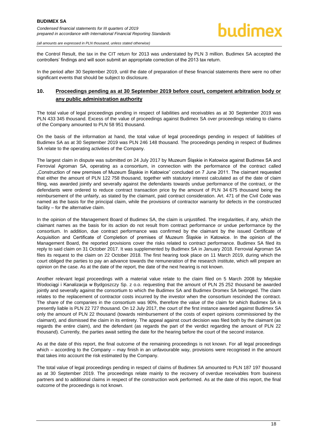the Control Result, the tax in the CIT return for 2013 was understated by PLN 3 million. Budimex SA accepted the controllers' findings and will soon submit an appropriate correction of the 2013 tax return.

In the period after 30 September 2019, until the date of preparation of these financial statements there were no other significant events that should be subject to disclosure.

#### <span id="page-17-0"></span>**10. Proceedings pending as at 30 September 2019 before court, competent arbitration body or any public administration authority**

The total value of legal proceedings pending in respect of liabilities and receivables as at 30 September 2019 was PLN 433 345 thousand. Excess of the value of proceedings against Budimex SA over proceedings relating to claims of the Company amounted to PLN 58 951 thousand.

On the basis of the information at hand, the total value of legal proceedings pending in respect of liabilities of Budimex SA as at 30 September 2019 was PLN 246 148 thousand. The proceedings pending in respect of Budimex SA relate to the operating activities of the Company.

The largest claim in dispute was submitted on 24 July 2017 by Muzeum Śląskie in Katowice against Budimex SA and Ferrovial Agroman SA, operating as a consortium, in connection with the performance of the contract called "Construction of new premises of Muzeum Śląskie in Katowice" concluded on 7 June 2011. The claimant requested that either the amount of PLN 122 758 thousand, together with statutory interest calculated as of the date of claim filing, was awarded jointly and severally against the defendants towards undue performance of the contract, or the defendants were ordered to reduce contract transaction price by the amount of PLN 34 675 thousand being the reimbursement of the unfairly, as stated by the claimant, paid contract consideration. Art. 471 of the Civil Code was named as the basis for the principal claim, while the provisions of contractor warranty for defects in the constructed facility – for the alternative claim.

In the opinion of the Management Board of Budimex SA, the claim is unjustified. The irregularities, if any, which the claimant names as the basis for its action do not result from contract performance or undue performance by the consortium. In addition, due contract performance was confirmed by the claimant by the issued Certificate of Acquisition and Certificate of Completion of premises of Muzeum Śląskie in Katowice. In the opinion of the Management Board, the reported provisions cover the risks related to contract performance. Budimex SA filed its reply to said claim on 31 October 2017. It was supplemented by Budimex SA in January 2018. Ferrovial Agroman SA files its request to the claim on 22 October 2018. The first hearing took place on 11 March 2019, during which the court obliged the parties to pay an advance towards the remuneration of the research institute, which will prepare an opinion on the case. As at the date of the report, the date of the next hearing is not known.

Another relevant legal proceedings with a material value relate to the claim filed on 5 March 2008 by Miejskie Wodociągi i Kanalizacja w Bydgoszczy Sp. z o.o. requesting that the amount of PLN 25 252 thousand be awarded jointly and severally against the consortium to which the Budimex SA and Budimex Dromex SA belonged. The claim relates to the replacement of contractor costs incurred by the investor when the consortium rescinded the contract. The share of the companies in the consortium was 90%, therefore the value of the claim for which Budimex SA is presently liable is PLN 22 727 thousand. On 12 July 2017, the court of the first instance awarded against Budimex SA only the amount of PLN 22 thousand (towards reimbursement of the costs of expert opinions commissioned by the claimant), and dismissed the claim in its entirety. The appeal against court decision was filed both by the claimant (as regards the entire claim), and the defendant (as regards the part of the verdict regarding the amount of PLN 22 thousand). Currently, the parties await setting the date for the hearing before the court of the second instance.

As at the date of this report, the final outcome of the remaining proceedings is not known. For all legal proceedings which – according to the Company – may finish in an unfavourable way, provisions were recognised in the amount that takes into account the risk estimated by the Company.

The total value of legal proceedings pending in respect of claims of Budimex SA amounted to PLN 187 197 thousand as at 30 September 2019. The proceedings relate mainly to the recovery of overdue receivables from business partners and to additional claims in respect of the construction work performed. As at the date of this report, the final outcome of the proceedings is not known.